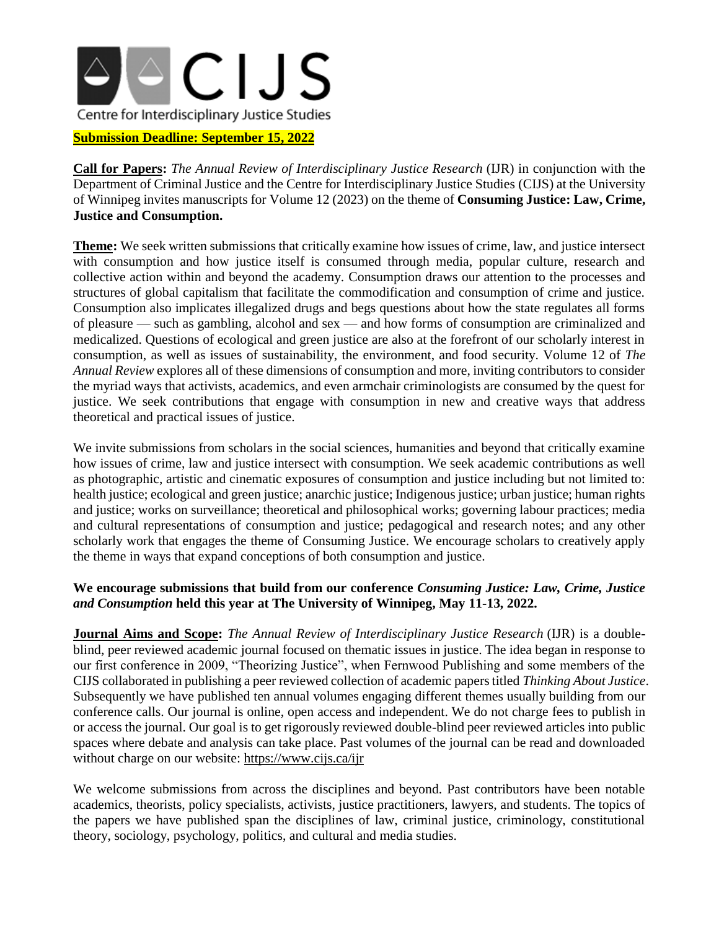

## **Submission Deadline: September 15, 2022**

**Call for Papers:** *The Annual Review of Interdisciplinary Justice Research* (IJR) in conjunction with the Department of Criminal Justice and the Centre for Interdisciplinary Justice Studies (CIJS) at the University of Winnipeg invites manuscripts for Volume 12 (2023) on the theme of **Consuming Justice: Law, Crime, Justice and Consumption.**

**Theme:** We seek written submissions that critically examine how issues of crime, law, and justice intersect with consumption and how justice itself is consumed through media, popular culture, research and collective action within and beyond the academy. Consumption draws our attention to the processes and structures of global capitalism that facilitate the commodification and consumption of crime and justice. Consumption also implicates illegalized drugs and begs questions about how the state regulates all forms of pleasure — such as gambling, alcohol and sex — and how forms of consumption are criminalized and medicalized. Questions of ecological and green justice are also at the forefront of our scholarly interest in consumption, as well as issues of sustainability, the environment, and food security. Volume 12 of *The Annual Review* explores all of these dimensions of consumption and more, inviting contributors to consider the myriad ways that activists, academics, and even armchair criminologists are consumed by the quest for justice. We seek contributions that engage with consumption in new and creative ways that address theoretical and practical issues of justice.

We invite submissions from scholars in the social sciences, humanities and beyond that critically examine how issues of crime, law and justice intersect with consumption. We seek academic contributions as well as photographic, artistic and cinematic exposures of consumption and justice including but not limited to: health justice; ecological and green justice; anarchic justice; Indigenous justice; urban justice; human rights and justice; works on surveillance; theoretical and philosophical works; governing labour practices; media and cultural representations of consumption and justice; pedagogical and research notes; and any other scholarly work that engages the theme of Consuming Justice. We encourage scholars to creatively apply the theme in ways that expand conceptions of both consumption and justice.

## **We encourage submissions that build from our conference** *Consuming Justice: Law, Crime, Justice and Consumption* **held this year at The University of Winnipeg, May 11-13, 2022.**

**Journal Aims and Scope:** *The Annual Review of Interdisciplinary Justice Research* (IJR) is a doubleblind, peer reviewed academic journal focused on thematic issues in justice. The idea began in response to our first conference in 2009, "Theorizing Justice", when Fernwood Publishing and some members of the CIJS collaborated in publishing a peer reviewed collection of academic papers titled *Thinking About Justice*. Subsequently we have published ten annual volumes engaging different themes usually building from our conference calls. Our journal is online, open access and independent. We do not charge fees to publish in or access the journal. Our goal is to get rigorously reviewed double-blind peer reviewed articles into public spaces where debate and analysis can take place. Past volumes of the journal can be read and downloaded without charge on our website:<https://www.cijs.ca/ijr>

We welcome submissions from across the disciplines and beyond. Past contributors have been notable academics, theorists, policy specialists, activists, justice practitioners, lawyers, and students. The topics of the papers we have published span the disciplines of law, criminal justice, criminology, constitutional theory, sociology, psychology, politics, and cultural and media studies.